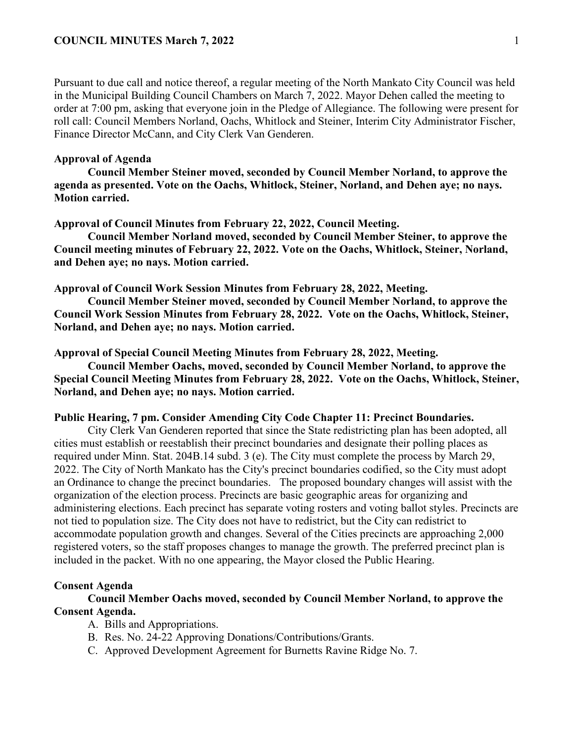Pursuant to due call and notice thereof, a regular meeting of the North Mankato City Council was held in the Municipal Building Council Chambers on March 7, 2022. Mayor Dehen called the meeting to order at 7:00 pm, asking that everyone join in the Pledge of Allegiance. The following were present for roll call: Council Members Norland, Oachs, Whitlock and Steiner, Interim City Administrator Fischer, Finance Director McCann, and City Clerk Van Genderen.

# **Approval of Agenda**

**Council Member Steiner moved, seconded by Council Member Norland, to approve the agenda as presented. Vote on the Oachs, Whitlock, Steiner, Norland, and Dehen aye; no nays. Motion carried.** 

### **Approval of Council Minutes from February 22, 2022, Council Meeting.**

**Council Member Norland moved, seconded by Council Member Steiner, to approve the Council meeting minutes of February 22, 2022. Vote on the Oachs, Whitlock, Steiner, Norland, and Dehen aye; no nays. Motion carried.** 

**Approval of Council Work Session Minutes from February 28, 2022, Meeting.**

**Council Member Steiner moved, seconded by Council Member Norland, to approve the Council Work Session Minutes from February 28, 2022. Vote on the Oachs, Whitlock, Steiner, Norland, and Dehen aye; no nays. Motion carried.** 

**Approval of Special Council Meeting Minutes from February 28, 2022, Meeting.**

**Council Member Oachs, moved, seconded by Council Member Norland, to approve the Special Council Meeting Minutes from February 28, 2022. Vote on the Oachs, Whitlock, Steiner, Norland, and Dehen aye; no nays. Motion carried.** 

## **Public Hearing, 7 pm. Consider Amending City Code Chapter 11: Precinct Boundaries.**

City Clerk Van Genderen reported that since the State redistricting plan has been adopted, all cities must establish or reestablish their precinct boundaries and designate their polling places as required under Minn. Stat. 204B.14 subd. 3 (e). The City must complete the process by March 29, 2022. The City of North Mankato has the City's precinct boundaries codified, so the City must adopt an Ordinance to change the precinct boundaries. The proposed boundary changes will assist with the organization of the election process. Precincts are basic geographic areas for organizing and administering elections. Each precinct has separate voting rosters and voting ballot styles. Precincts are not tied to population size. The City does not have to redistrict, but the City can redistrict to accommodate population growth and changes. Several of the Cities precincts are approaching 2,000 registered voters, so the staff proposes changes to manage the growth. The preferred precinct plan is included in the packet. With no one appearing, the Mayor closed the Public Hearing.

#### **Consent Agenda**

**Council Member Oachs moved, seconded by Council Member Norland, to approve the Consent Agenda.**

- A. Bills and Appropriations.
- B. Res. No. 24-22 Approving Donations/Contributions/Grants.
- C. Approved Development Agreement for Burnetts Ravine Ridge No. 7.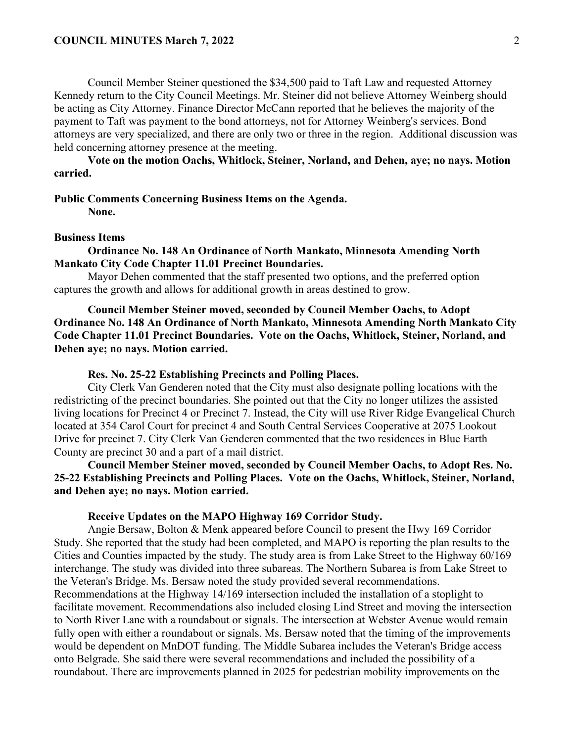Council Member Steiner questioned the \$34,500 paid to Taft Law and requested Attorney Kennedy return to the City Council Meetings. Mr. Steiner did not believe Attorney Weinberg should be acting as City Attorney. Finance Director McCann reported that he believes the majority of the payment to Taft was payment to the bond attorneys, not for Attorney Weinberg's services. Bond attorneys are very specialized, and there are only two or three in the region. Additional discussion was held concerning attorney presence at the meeting.

**Vote on the motion Oachs, Whitlock, Steiner, Norland, and Dehen, aye; no nays. Motion carried.** 

### **Public Comments Concerning Business Items on the Agenda.**

**None.**

### **Business Items**

**Ordinance No. 148 An Ordinance of North Mankato, Minnesota Amending North Mankato City Code Chapter 11.01 Precinct Boundaries.**

Mayor Dehen commented that the staff presented two options, and the preferred option captures the growth and allows for additional growth in areas destined to grow.

**Council Member Steiner moved, seconded by Council Member Oachs, to Adopt Ordinance No. 148 An Ordinance of North Mankato, Minnesota Amending North Mankato City Code Chapter 11.01 Precinct Boundaries. Vote on the Oachs, Whitlock, Steiner, Norland, and Dehen aye; no nays. Motion carried.** 

#### **Res. No. 25-22 Establishing Precincts and Polling Places.**

City Clerk Van Genderen noted that the City must also designate polling locations with the redistricting of the precinct boundaries. She pointed out that the City no longer utilizes the assisted living locations for Precinct 4 or Precinct 7. Instead, the City will use River Ridge Evangelical Church located at 354 Carol Court for precinct 4 and South Central Services Cooperative at 2075 Lookout Drive for precinct 7. City Clerk Van Genderen commented that the two residences in Blue Earth County are precinct 30 and a part of a mail district.

**Council Member Steiner moved, seconded by Council Member Oachs, to Adopt Res. No. 25-22 Establishing Precincts and Polling Places. Vote on the Oachs, Whitlock, Steiner, Norland, and Dehen aye; no nays. Motion carried.** 

#### **Receive Updates on the MAPO Highway 169 Corridor Study.**

Angie Bersaw, Bolton & Menk appeared before Council to present the Hwy 169 Corridor Study. She reported that the study had been completed, and MAPO is reporting the plan results to the Cities and Counties impacted by the study. The study area is from Lake Street to the Highway 60/169 interchange. The study was divided into three subareas. The Northern Subarea is from Lake Street to the Veteran's Bridge. Ms. Bersaw noted the study provided several recommendations. Recommendations at the Highway 14/169 intersection included the installation of a stoplight to facilitate movement. Recommendations also included closing Lind Street and moving the intersection to North River Lane with a roundabout or signals. The intersection at Webster Avenue would remain fully open with either a roundabout or signals. Ms. Bersaw noted that the timing of the improvements would be dependent on MnDOT funding. The Middle Subarea includes the Veteran's Bridge access onto Belgrade. She said there were several recommendations and included the possibility of a roundabout. There are improvements planned in 2025 for pedestrian mobility improvements on the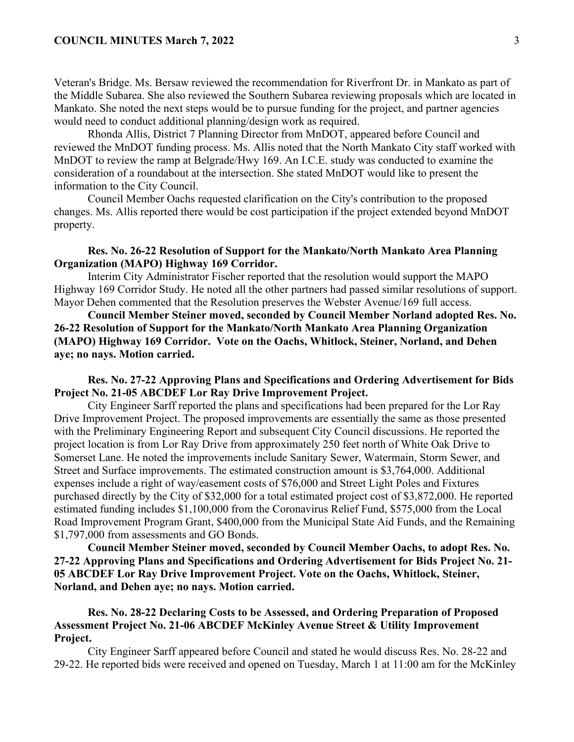Veteran's Bridge. Ms. Bersaw reviewed the recommendation for Riverfront Dr. in Mankato as part of the Middle Subarea. She also reviewed the Southern Subarea reviewing proposals which are located in Mankato. She noted the next steps would be to pursue funding for the project, and partner agencies would need to conduct additional planning/design work as required.

Rhonda Allis, District 7 Planning Director from MnDOT, appeared before Council and reviewed the MnDOT funding process. Ms. Allis noted that the North Mankato City staff worked with MnDOT to review the ramp at Belgrade/Hwy 169. An I.C.E. study was conducted to examine the consideration of a roundabout at the intersection. She stated MnDOT would like to present the information to the City Council.

Council Member Oachs requested clarification on the City's contribution to the proposed changes. Ms. Allis reported there would be cost participation if the project extended beyond MnDOT property.

# **Res. No. 26-22 Resolution of Support for the Mankato/North Mankato Area Planning Organization (MAPO) Highway 169 Corridor.**

Interim City Administrator Fischer reported that the resolution would support the MAPO Highway 169 Corridor Study. He noted all the other partners had passed similar resolutions of support. Mayor Dehen commented that the Resolution preserves the Webster Avenue/169 full access.

**Council Member Steiner moved, seconded by Council Member Norland adopted Res. No. 26-22 Resolution of Support for the Mankato/North Mankato Area Planning Organization (MAPO) Highway 169 Corridor. Vote on the Oachs, Whitlock, Steiner, Norland, and Dehen aye; no nays. Motion carried.** 

**Res. No. 27-22 Approving Plans and Specifications and Ordering Advertisement for Bids Project No. 21-05 ABCDEF Lor Ray Drive Improvement Project.**

City Engineer Sarff reported the plans and specifications had been prepared for the Lor Ray Drive Improvement Project. The proposed improvements are essentially the same as those presented with the Preliminary Engineering Report and subsequent City Council discussions. He reported the project location is from Lor Ray Drive from approximately 250 feet north of White Oak Drive to Somerset Lane. He noted the improvements include Sanitary Sewer, Watermain, Storm Sewer, and Street and Surface improvements. The estimated construction amount is \$3,764,000. Additional expenses include a right of way/easement costs of \$76,000 and Street Light Poles and Fixtures purchased directly by the City of \$32,000 for a total estimated project cost of \$3,872,000. He reported estimated funding includes \$1,100,000 from the Coronavirus Relief Fund, \$575,000 from the Local Road Improvement Program Grant, \$400,000 from the Municipal State Aid Funds, and the Remaining \$1,797,000 from assessments and GO Bonds.

**Council Member Steiner moved, seconded by Council Member Oachs, to adopt Res. No. 27-22 Approving Plans and Specifications and Ordering Advertisement for Bids Project No. 21- 05 ABCDEF Lor Ray Drive Improvement Project. Vote on the Oachs, Whitlock, Steiner, Norland, and Dehen aye; no nays. Motion carried.** 

**Res. No. 28-22 Declaring Costs to be Assessed, and Ordering Preparation of Proposed Assessment Project No. 21-06 ABCDEF McKinley Avenue Street & Utility Improvement Project.**

City Engineer Sarff appeared before Council and stated he would discuss Res. No. 28-22 and 29-22. He reported bids were received and opened on Tuesday, March 1 at 11:00 am for the McKinley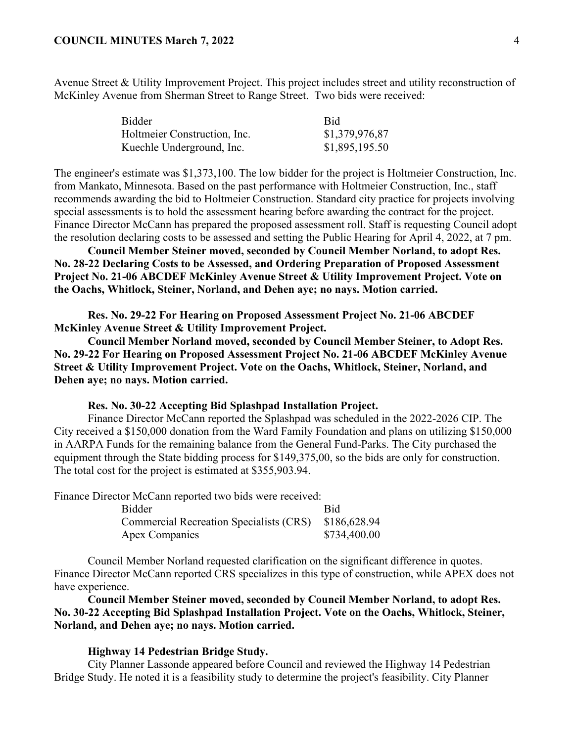Avenue Street & Utility Improvement Project. This project includes street and utility reconstruction of McKinley Avenue from Sherman Street to Range Street. Two bids were received:

| Bidder                       | <b>Bid</b>     |
|------------------------------|----------------|
| Holtmeier Construction, Inc. | \$1,379,976,87 |
| Kuechle Underground, Inc.    | \$1,895,195.50 |

The engineer's estimate was \$1,373,100. The low bidder for the project is Holtmeier Construction, Inc. from Mankato, Minnesota. Based on the past performance with Holtmeier Construction, Inc., staff recommends awarding the bid to Holtmeier Construction. Standard city practice for projects involving special assessments is to hold the assessment hearing before awarding the contract for the project. Finance Director McCann has prepared the proposed assessment roll. Staff is requesting Council adopt the resolution declaring costs to be assessed and setting the Public Hearing for April 4, 2022, at 7 pm.

**Council Member Steiner moved, seconded by Council Member Norland, to adopt Res. No. 28-22 Declaring Costs to be Assessed, and Ordering Preparation of Proposed Assessment Project No. 21-06 ABCDEF McKinley Avenue Street & Utility Improvement Project. Vote on the Oachs, Whitlock, Steiner, Norland, and Dehen aye; no nays. Motion carried.** 

**Res. No. 29-22 For Hearing on Proposed Assessment Project No. 21-06 ABCDEF McKinley Avenue Street & Utility Improvement Project.**

**Council Member Norland moved, seconded by Council Member Steiner, to Adopt Res. No. 29-22 For Hearing on Proposed Assessment Project No. 21-06 ABCDEF McKinley Avenue Street & Utility Improvement Project. Vote on the Oachs, Whitlock, Steiner, Norland, and Dehen aye; no nays. Motion carried.** 

### **Res. No. 30-22 Accepting Bid Splashpad Installation Project.**

Finance Director McCann reported the Splashpad was scheduled in the 2022-2026 CIP. The City received a \$150,000 donation from the Ward Family Foundation and plans on utilizing \$150,000 in AARPA Funds for the remaining balance from the General Fund-Parks. The City purchased the equipment through the State bidding process for \$149,375,00, so the bids are only for construction. The total cost for the project is estimated at \$355,903.94.

Finance Director McCann reported two bids were received:

| Bidder                                               | <b>Rid</b>   |
|------------------------------------------------------|--------------|
| Commercial Recreation Specialists (CRS) \$186,628.94 |              |
| Apex Companies                                       | \$734,400.00 |

Council Member Norland requested clarification on the significant difference in quotes. Finance Director McCann reported CRS specializes in this type of construction, while APEX does not have experience.

**Council Member Steiner moved, seconded by Council Member Norland, to adopt Res. No. 30-22 Accepting Bid Splashpad Installation Project. Vote on the Oachs, Whitlock, Steiner, Norland, and Dehen aye; no nays. Motion carried.** 

## **Highway 14 Pedestrian Bridge Study.**

City Planner Lassonde appeared before Council and reviewed the Highway 14 Pedestrian Bridge Study. He noted it is a feasibility study to determine the project's feasibility. City Planner